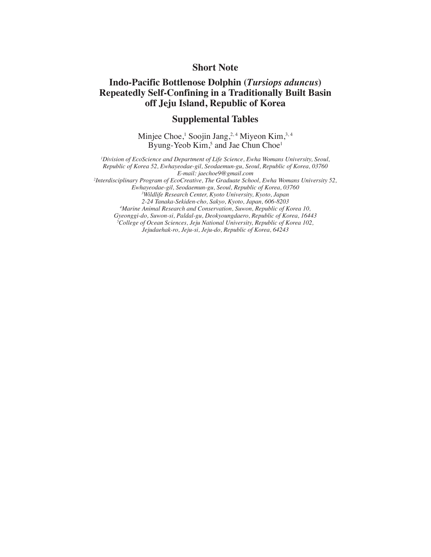## **Short Note**

## **Indo-Pacific Bottlenose Dolphin (***Tursiops aduncus***) Repeatedly Self-Confining in a Traditionally Built Basin off Jeju Island, Republic of Korea**

## **Supplemental Tables**

Minjee Choe,<sup>1</sup> Soojin Jang,<sup>2,4</sup> Miyeon Kim,<sup>3,4</sup> Byung-Yeob Kim,<sup>5</sup> and Jae Chun Choe<sup>1</sup>

*1 Division of EcoScience and Department of Life Science, Ewha Womans University, Seoul, Republic of Korea 52, Ewhayeodae-gil, Seodaemun-gu, Seoul, Republic of Korea, 03760 E-mail: jaechoe9@gmail.com 2 Interdisciplinary Program of EcoCreative, The Graduate School, Ewha Womans University 52, Ewhayeodae-gil, Seodaemun-gu, Seoul, Republic of Korea, 03760 3 Wildlife Research Center, Kyoto University, Kyoto, Japan*

*2-24 Tanaka-Sekiden-cho, Sakyo, Kyoto, Japan, 606-8203 4 Marine Animal Research and Conservation, Suwon, Republic of Korea 10,* 

*Gyeonggi-do, Suwon-si, Paldal-gu, Deokyoungdaero, Republic of Korea, 16443*

*5 College of Ocean Sciences, Jeju National University, Republic of Korea 102,* 

*Jejudaehak-ro, Jeju-si, Jeju-do, Republic of Korea, 64243*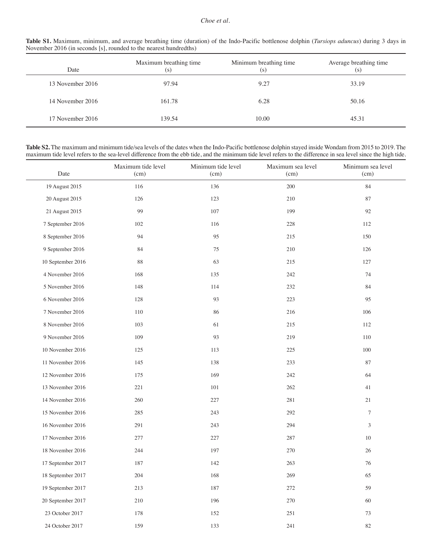## *Choe et al.*

| Table S1. Maximum, minimum, and average breathing time (duration) of the Indo-Pacific bottlenose dolphin (Tursiops aduncus) during 3 days in |  |  |  |  |  |  |
|----------------------------------------------------------------------------------------------------------------------------------------------|--|--|--|--|--|--|
| November 2016 (in seconds [s], rounded to the nearest hundredths)                                                                            |  |  |  |  |  |  |

| Date             | Maximum breathing time<br>(s) | Minimum breathing time<br>(s) | Average breathing time<br>(s) |
|------------------|-------------------------------|-------------------------------|-------------------------------|
| 13 November 2016 | 97.94                         | 9.27                          | 33.19                         |
| 14 November 2016 | 161.78                        | 6.28                          | 50.16                         |
| 17 November 2016 | 139.54                        | 10.00                         | 45.31                         |

**Table S2.** The maximum and minimum tide/sea levels of the dates when the Indo-Pacific bottlenose dolphin stayed inside Wondam from 2015 to 2019. The maximum tide level refers to the sea-level difference from the ebb tide, and the minimum tide level refers to the difference in sea level since the high tide.

| Date              | Maximum tide level<br>(cm) | Minimum tide level<br>(cm) | Maximum sea level<br>(cm) | Minimum sea level<br>(cm) |
|-------------------|----------------------------|----------------------------|---------------------------|---------------------------|
| 19 August 2015    | 116                        | 136                        | $200\,$                   | 84                        |
| 20 August 2015    | 126                        | 123                        | 210                       | 87                        |
| 21 August 2015    | 99                         | 107                        | 199                       | 92                        |
| 7 September 2016  | 102                        | 116                        | 228                       | 112                       |
| 8 September 2016  | 94                         | 95                         | 215                       | 150                       |
| 9 September 2016  | 84                         | 75                         | 210                       | 126                       |
| 10 September 2016 | 88                         | 63                         | 215                       | 127                       |
| 4 November 2016   | 168                        | 135                        | 242                       | 74                        |
| 5 November 2016   | 148                        | 114                        | 232                       | $\bf 84$                  |
| 6 November 2016   | 128                        | 93                         | 223                       | 95                        |
| 7 November 2016   | 110                        | 86                         | 216                       | 106                       |
| 8 November 2016   | 103                        | 61                         | 215                       | 112                       |
| 9 November 2016   | 109                        | 93                         | 219                       | 110                       |
| 10 November 2016  | 125                        | 113                        | 225                       | 100                       |
| 11 November 2016  | 145                        | 138                        | 233                       | 87                        |
| 12 November 2016  | 175                        | 169                        | 242                       | 64                        |
| 13 November 2016  | 221                        | 101                        | 262                       | 41                        |
| 14 November 2016  | 260                        | 227                        | 281                       | 21                        |
| 15 November 2016  | 285                        | 243                        | 292                       | $\tau$                    |
| 16 November 2016  | 291                        | 243                        | 294                       | 3                         |
| 17 November 2016  | 277                        | 227                        | 287                       | 10                        |
| 18 November 2016  | 244                        | 197                        | 270                       | 26                        |
| 17 September 2017 | 187                        | 142                        | 263                       | 76                        |
| 18 September 2017 | $204\,$                    | 168                        | 269                       | 65                        |
| 19 September 2017 | 213                        | 187                        | $272\,$                   | 59                        |
| 20 September 2017 | $210\,$                    | 196                        | 270                       | $60\,$                    |
| 23 October 2017   | 178                        | 152                        | $251\,$                   | $73\,$                    |
| 24 October 2017   | 159                        | 133                        | $241\,$                   | $82\,$                    |